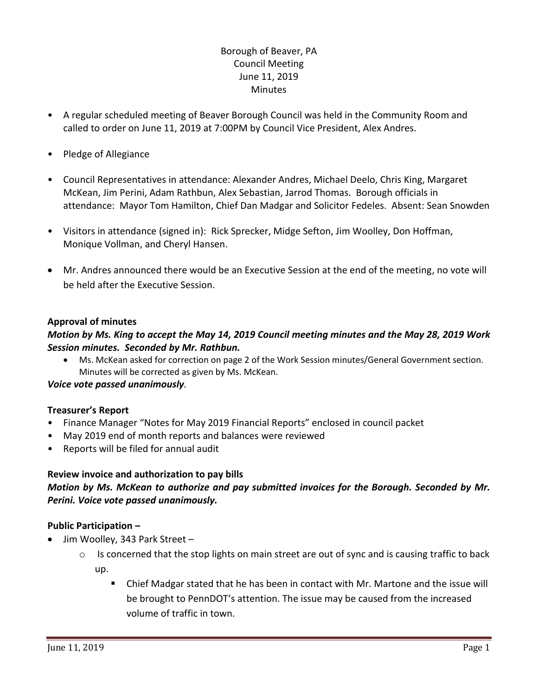# Borough of Beaver, PA Council Meeting June 11, 2019 **Minutes**

- A regular scheduled meeting of Beaver Borough Council was held in the Community Room and called to order on June 11, 2019 at 7:00PM by Council Vice President, Alex Andres.
- Pledge of Allegiance
- Council Representatives in attendance: Alexander Andres, Michael Deelo, Chris King, Margaret McKean, Jim Perini, Adam Rathbun, Alex Sebastian, Jarrod Thomas. Borough officials in attendance: Mayor Tom Hamilton, Chief Dan Madgar and Solicitor Fedeles. Absent: Sean Snowden
- Visitors in attendance (signed in): Rick Sprecker, Midge Sefton, Jim Woolley, Don Hoffman, Monique Vollman, and Cheryl Hansen.
- Mr. Andres announced there would be an Executive Session at the end of the meeting, no vote will be held after the Executive Session.

# **Approval of minutes**

# *Motion by Ms. King to accept the May 14, 2019 Council meeting minutes and the May 28, 2019 Work Session minutes. Seconded by Mr. Rathbun.*

 Ms. McKean asked for correction on page 2 of the Work Session minutes/General Government section. Minutes will be corrected as given by Ms. McKean.

## *Voice vote passed unanimously.*

## **Treasurer's Report**

- Finance Manager "Notes for May 2019 Financial Reports" enclosed in council packet
- May 2019 end of month reports and balances were reviewed
- Reports will be filed for annual audit

## **Review invoice and authorization to pay bills**

# *Motion by Ms. McKean to authorize and pay submitted invoices for the Borough. Seconded by Mr. Perini. Voice vote passed unanimously.*

# **Public Participation –**

- Jim Woolley, 343 Park Street
	- $\circ$  Is concerned that the stop lights on main street are out of sync and is causing traffic to back up.
		- Chief Madgar stated that he has been in contact with Mr. Martone and the issue will be brought to PennDOT's attention. The issue may be caused from the increased volume of traffic in town.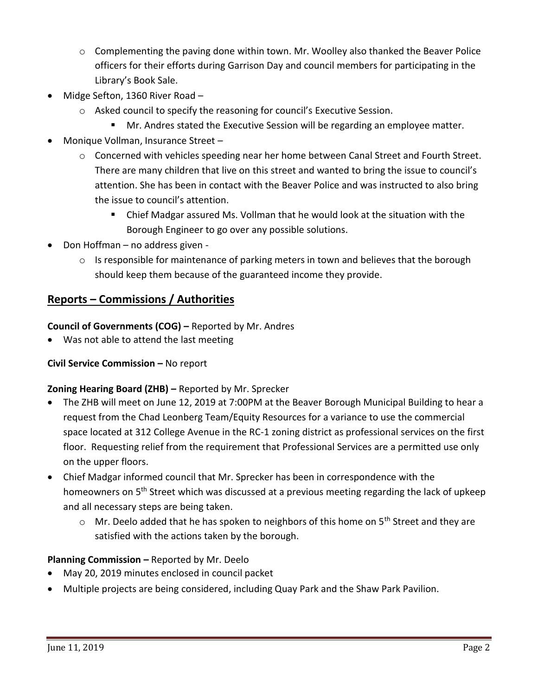- $\circ$  Complementing the paving done within town. Mr. Woolley also thanked the Beaver Police officers for their efforts during Garrison Day and council members for participating in the Library's Book Sale.
- Midge Sefton, 1360 River Road
	- o Asked council to specify the reasoning for council's Executive Session.
		- **Mr. Andres stated the Executive Session will be regarding an employee matter.**
- Monique Vollman, Insurance Street
	- $\circ$  Concerned with vehicles speeding near her home between Canal Street and Fourth Street. There are many children that live on this street and wanted to bring the issue to council's attention. She has been in contact with the Beaver Police and was instructed to also bring the issue to council's attention.
		- Chief Madgar assured Ms. Vollman that he would look at the situation with the Borough Engineer to go over any possible solutions.
- Don Hoffman no address given
	- $\circ$  Is responsible for maintenance of parking meters in town and believes that the borough should keep them because of the guaranteed income they provide.

# **Reports – Commissions / Authorities**

**Council of Governments (COG) –** Reported by Mr. Andres

Was not able to attend the last meeting

# **Civil Service Commission –** No report

# **Zoning Hearing Board (ZHB) –** Reported by Mr. Sprecker

- The ZHB will meet on June 12, 2019 at 7:00PM at the Beaver Borough Municipal Building to hear a request from the Chad Leonberg Team/Equity Resources for a variance to use the commercial space located at 312 College Avenue in the RC-1 zoning district as professional services on the first floor. Requesting relief from the requirement that Professional Services are a permitted use only on the upper floors.
- Chief Madgar informed council that Mr. Sprecker has been in correspondence with the homeowners on 5<sup>th</sup> Street which was discussed at a previous meeting regarding the lack of upkeep and all necessary steps are being taken.
	- $\circ$  Mr. Deelo added that he has spoken to neighbors of this home on 5<sup>th</sup> Street and they are satisfied with the actions taken by the borough.

# **Planning Commission –** Reported by Mr. Deelo

- May 20, 2019 minutes enclosed in council packet
- Multiple projects are being considered, including Quay Park and the Shaw Park Pavilion.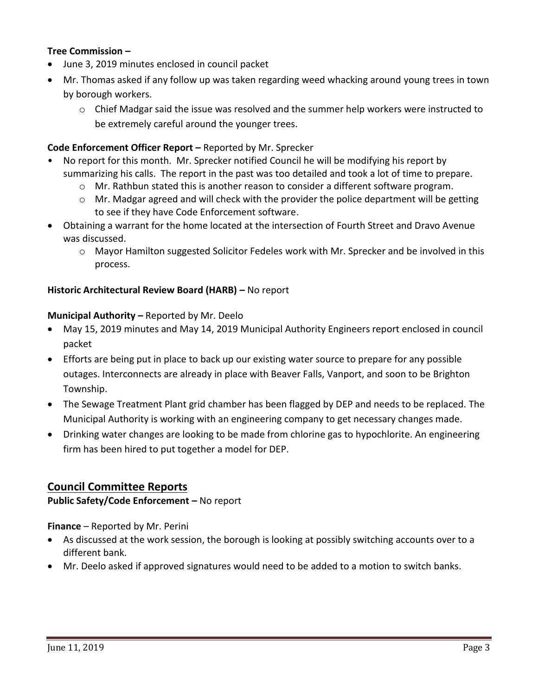# **Tree Commission –**

- June 3, 2019 minutes enclosed in council packet
- Mr. Thomas asked if any follow up was taken regarding weed whacking around young trees in town by borough workers.
	- $\circ$  Chief Madgar said the issue was resolved and the summer help workers were instructed to be extremely careful around the younger trees.

# **Code Enforcement Officer Report –** Reported by Mr. Sprecker

- No report for this month. Mr. Sprecker notified Council he will be modifying his report by summarizing his calls. The report in the past was too detailed and took a lot of time to prepare.
	- $\circ$  Mr. Rathbun stated this is another reason to consider a different software program.
	- o Mr. Madgar agreed and will check with the provider the police department will be getting to see if they have Code Enforcement software.
- Obtaining a warrant for the home located at the intersection of Fourth Street and Dravo Avenue was discussed.
	- o Mayor Hamilton suggested Solicitor Fedeles work with Mr. Sprecker and be involved in this process.

## **Historic Architectural Review Board (HARB) –** No report

### **Municipal Authority –** Reported by Mr. Deelo

- May 15, 2019 minutes and May 14, 2019 Municipal Authority Engineers report enclosed in council packet
- Efforts are being put in place to back up our existing water source to prepare for any possible outages. Interconnects are already in place with Beaver Falls, Vanport, and soon to be Brighton Township.
- The Sewage Treatment Plant grid chamber has been flagged by DEP and needs to be replaced. The Municipal Authority is working with an engineering company to get necessary changes made.
- Drinking water changes are looking to be made from chlorine gas to hypochlorite. An engineering firm has been hired to put together a model for DEP.

# **Council Committee Reports**

## **Public Safety/Code Enforcement –** No report

**Finance** – Reported by Mr. Perini

- As discussed at the work session, the borough is looking at possibly switching accounts over to a different bank.
- Mr. Deelo asked if approved signatures would need to be added to a motion to switch banks.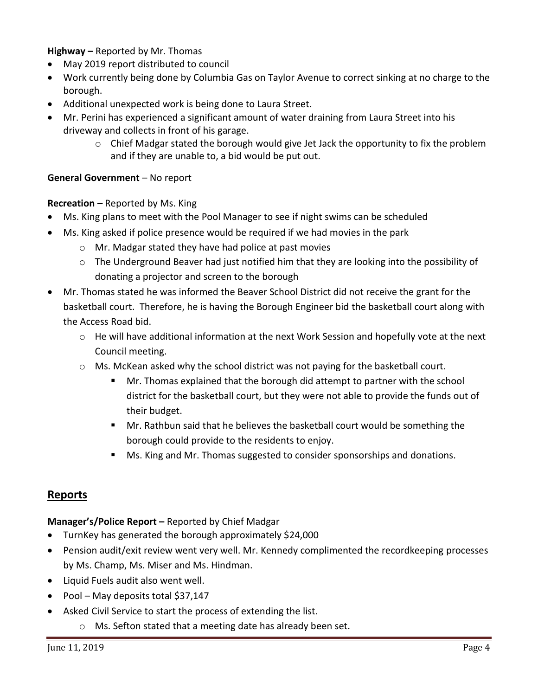**Highway –** Reported by Mr. Thomas

- May 2019 report distributed to council
- Work currently being done by Columbia Gas on Taylor Avenue to correct sinking at no charge to the borough.
- Additional unexpected work is being done to Laura Street.
- Mr. Perini has experienced a significant amount of water draining from Laura Street into his driveway and collects in front of his garage.
	- o Chief Madgar stated the borough would give Jet Jack the opportunity to fix the problem and if they are unable to, a bid would be put out.

# **General Government** – No report

# **Recreation –** Reported by Ms. King

- Ms. King plans to meet with the Pool Manager to see if night swims can be scheduled
- Ms. King asked if police presence would be required if we had movies in the park
	- o Mr. Madgar stated they have had police at past movies
	- $\circ$  The Underground Beaver had just notified him that they are looking into the possibility of donating a projector and screen to the borough
- Mr. Thomas stated he was informed the Beaver School District did not receive the grant for the basketball court. Therefore, he is having the Borough Engineer bid the basketball court along with the Access Road bid.
	- $\circ$  He will have additional information at the next Work Session and hopefully vote at the next Council meeting.
	- o Ms. McKean asked why the school district was not paying for the basketball court.
		- Mr. Thomas explained that the borough did attempt to partner with the school district for the basketball court, but they were not able to provide the funds out of their budget.
		- Mr. Rathbun said that he believes the basketball court would be something the borough could provide to the residents to enjoy.
		- **Ms. King and Mr. Thomas suggested to consider sponsorships and donations.**

# **Reports**

# **Manager's/Police Report –** Reported by Chief Madgar

- TurnKey has generated the borough approximately \$24,000
- Pension audit/exit review went very well. Mr. Kennedy complimented the recordkeeping processes by Ms. Champ, Ms. Miser and Ms. Hindman.
- Liquid Fuels audit also went well.
- Pool May deposits total \$37,147
- Asked Civil Service to start the process of extending the list.
	- o Ms. Sefton stated that a meeting date has already been set.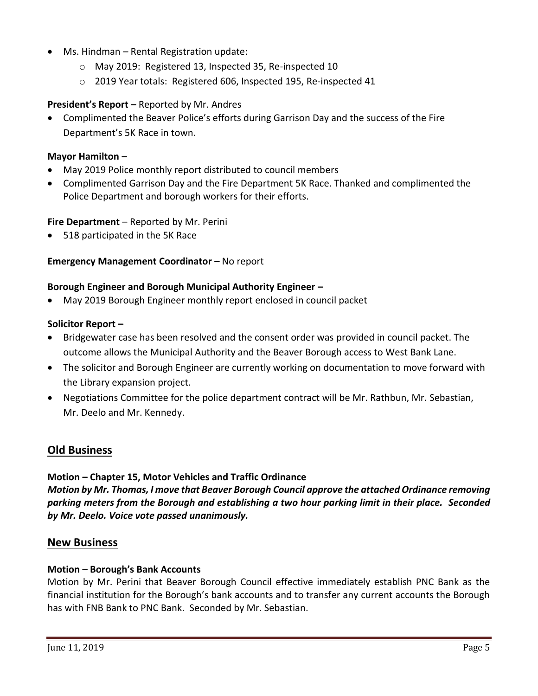- Ms. Hindman Rental Registration update:
	- o May 2019: Registered 13, Inspected 35, Re-inspected 10
	- o 2019 Year totals: Registered 606, Inspected 195, Re-inspected 41

## **President's Report –** Reported by Mr. Andres

 Complimented the Beaver Police's efforts during Garrison Day and the success of the Fire Department's 5K Race in town.

## **Mayor Hamilton –**

- May 2019 Police monthly report distributed to council members
- Complimented Garrison Day and the Fire Department 5K Race. Thanked and complimented the Police Department and borough workers for their efforts.

### **Fire Department** – Reported by Mr. Perini

518 participated in the 5K Race

### **Emergency Management Coordinator – No report**

### **Borough Engineer and Borough Municipal Authority Engineer –**

May 2019 Borough Engineer monthly report enclosed in council packet

### **Solicitor Report –**

- Bridgewater case has been resolved and the consent order was provided in council packet. The outcome allows the Municipal Authority and the Beaver Borough access to West Bank Lane.
- The solicitor and Borough Engineer are currently working on documentation to move forward with the Library expansion project.
- Negotiations Committee for the police department contract will be Mr. Rathbun, Mr. Sebastian, Mr. Deelo and Mr. Kennedy.

# **Old Business**

## **Motion – Chapter 15, Motor Vehicles and Traffic Ordinance**

*Motion by Mr. Thomas, I move that Beaver Borough Council approve the attached Ordinance removing parking meters from the Borough and establishing a two hour parking limit in their place. Seconded by Mr. Deelo. Voice vote passed unanimously.* 

## **New Business**

#### **Motion – Borough's Bank Accounts**

Motion by Mr. Perini that Beaver Borough Council effective immediately establish PNC Bank as the financial institution for the Borough's bank accounts and to transfer any current accounts the Borough has with FNB Bank to PNC Bank. Seconded by Mr. Sebastian.